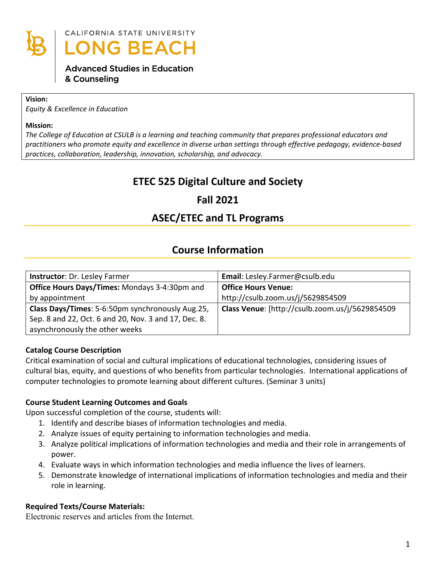

CALIFORNIA STATE UNIVERSITY **LONG BEACH** 

## **Advanced Studies in Education** & Counseling

#### **Vision:**

*Equity & Excellence in Education*

#### **Mission:**

*The College of Education at CSULB is a learning and teaching community that prepares professional educators and practitioners who promote equity and excellence in diverse urban settings through effective pedagogy, evidence-based practices, collaboration, leadership, innovation, scholarship, and advocacy.*

# **ETEC 525 Digital Culture and Society**

# **Fall 2021**

# **ASEC/ETEC and TL Programs**

## **Course Information**

| Instructor: Dr. Lesley Farmer                        | Email: Lesley.Farmer@csulb.edu                  |
|------------------------------------------------------|-------------------------------------------------|
| Office Hours Days/Times: Mondays 3-4:30pm and        | <b>Office Hours Venue:</b>                      |
| by appointment                                       | http://csulb.zoom.us/j/5629854509               |
| Class Days/Times: 5-6:50pm synchronously Aug.25,     | Class Venue: [http://csulb.zoom.us/j/5629854509 |
| Sep. 8 and 22, Oct. 6 and 20, Nov. 3 and 17, Dec. 8. |                                                 |
| asynchronously the other weeks                       |                                                 |

## **Catalog Course Description**

Critical examination of social and cultural implications of educational technologies, considering issues of cultural bias, equity, and questions of who benefits from particular technologies. International applications of computer technologies to promote learning about different cultures. (Seminar 3 units)

## **Course Student Learning Outcomes and Goals**

Upon successful completion of the course, students will:

- 1. Identify and describe biases of information technologies and media.
- 2. Analyze issues of equity pertaining to information technologies and media.
- 3. Analyze political implications of information technologies and media and their role in arrangements of power.
- 4. Evaluate ways in which information technologies and media influence the lives of learners.
- 5. Demonstrate knowledge of international implications of information technologies and media and their role in learning.

## **Required Texts/Course Materials:**

Electronic reserves and articles from the Internet.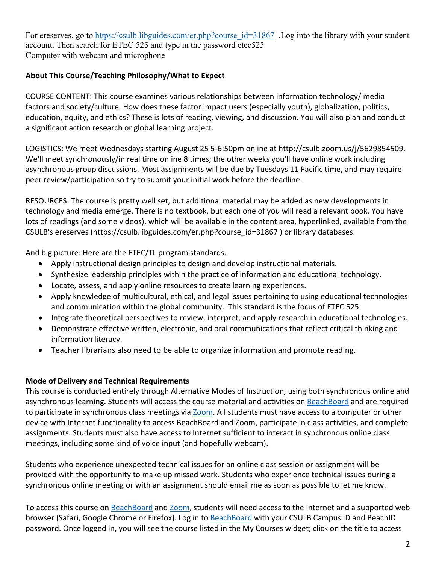For ereserves, go to [https://csulb.libguides.com/er.php?course\\_id=31867](https://csulb.libguides.com/er.php?course_id=31867) .Log into the library with your student account. Then search for ETEC 525 and type in the password etec525 Computer with webcam and microphone

## **About This Course/Teaching Philosophy/What to Expect**

COURSE CONTENT: This course examines various relationships between information technology/ media factors and society/culture. How does these factor impact users (especially youth), globalization, politics, education, equity, and ethics? These is lots of reading, viewing, and discussion. You will also plan and conduct a significant action research or global learning project.

LOGISTICS: We meet Wednesdays starting August 25 5-6:50pm online at http://csulb.zoom.us/j/5629854509. We'll meet synchronously/in real time online 8 times; the other weeks you'll have online work including asynchronous group discussions. Most assignments will be due by Tuesdays 11 Pacific time, and may require peer review/participation so try to submit your initial work before the deadline.

RESOURCES: The course is pretty well set, but additional material may be added as new developments in technology and media emerge. There is no textbook, but each one of you will read a relevant book. You have lots of readings (and some videos), which will be available in the content area, hyperlinked, available from the CSULB's ereserves (https://csulb.libguides.com/er.php?course\_id=31867 ) or library databases.

And big picture: Here are the ETEC/TL program standards.

- Apply instructional design principles to design and develop instructional materials.
- Synthesize leadership principles within the practice of information and educational technology.
- Locate, assess, and apply online resources to create learning experiences.
- Apply knowledge of multicultural, ethical, and legal issues pertaining to using educational technologies and communication within the global community. This standard is the focus of ETEC 525
- Integrate theoretical perspectives to review, interpret, and apply research in educational technologies.
- Demonstrate effective written, electronic, and oral communications that reflect critical thinking and information literacy.
- Teacher librarians also need to be able to organize information and promote reading.

## **Mode of Delivery and Technical Requirements**

This course is conducted entirely through Alternative Modes of Instruction, using both synchronous online and asynchronous learning. Students will access the course material and activities on [BeachBoard](https://bbcsulb.desire2learn.com/d2l/home) and are required to participate in synchronous class meetings via [Zoom.](https://csulb.zoom.us/meeting) All students must have access to a computer or other device with Internet functionality to access BeachBoard and Zoom, participate in class activities, and complete assignments. Students must also have access to Internet sufficient to interact in synchronous online class meetings, including some kind of voice input (and hopefully webcam).

Students who experience unexpected technical issues for an online class session or assignment will be provided with the opportunity to make up missed work. Students who experience technical issues during a synchronous online meeting or with an assignment should email me as soon as possible to let me know.

To access this course on [BeachBoard](https://bbcsulb.desire2learn.com/d2l/home) and [Zoom,](https://csulb.zoom.us/meeting) students will need access to the Internet and a supported web browser (Safari, Google Chrome or Firefox). Log in to [BeachBoard](https://bbcsulb.desire2learn.com/) with your CSULB Campus ID and BeachID password. Once logged in, you will see the course listed in the My Courses widget; click on the title to access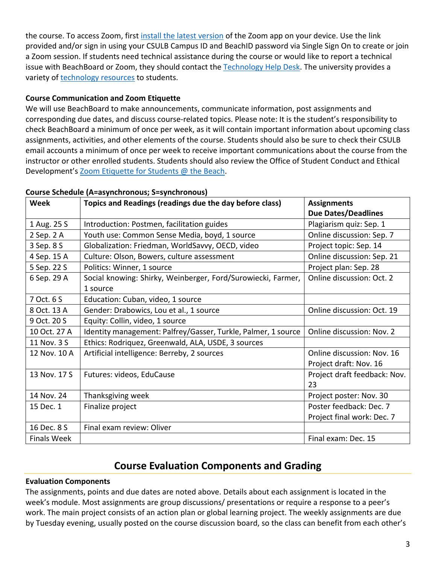the course. To access Zoom, first [install the latest version](https://zoom.us/download) of the Zoom app on your device. Use the link provided and/or sign in using your CSULB Campus ID and BeachID password via Single Sign On to create or join a Zoom session. If students need technical assistance during the course or would like to report a technical issue with BeachBoard or Zoom, they should contact the [Technology Help Desk.](https://www.csulb.edu/academic-technology-services/academic-technology-resources-for-students) The university provides a variety of [technology resources](https://www.csulb.edu/academic-technology-services/academic-technology-resources-for-students) to students.

## **Course Communication and Zoom Etiquette**

We will use BeachBoard to make announcements, communicate information, post assignments and corresponding due dates, and discuss course-related topics. Please note: It is the student's responsibility to check BeachBoard a minimum of once per week, as it will contain important information about upcoming class assignments, activities, and other elements of the course. Students should also be sure to check their CSULB email accounts a minimum of once per week to receive important communications about the course from the instructor or other enrolled students. Students should also review the Office of Student Conduct and Ethical Development's [Zoom Etiquette for Students @ the Beach.](https://www.csulb.edu/sites/default/files/u48211/zoom_etiquette_for_students.pdf)

| Week               | Topics and Readings (readings due the day before class)       | <b>Assignments</b>           |  |
|--------------------|---------------------------------------------------------------|------------------------------|--|
|                    |                                                               | <b>Due Dates/Deadlines</b>   |  |
| 1 Aug. 25 S        | Introduction: Postmen, facilitation guides                    | Plagiarism quiz: Sep. 1      |  |
| 2 Sep. 2 A         | Youth use: Common Sense Media, boyd, 1 source                 | Online discussion: Sep. 7    |  |
| 3 Sep. 8 S         | Globalization: Friedman, WorldSavvy, OECD, video              | Project topic: Sep. 14       |  |
| 4 Sep. 15 A        | Culture: Olson, Bowers, culture assessment                    | Online discussion: Sep. 21   |  |
| 5 Sep. 22 S        | Politics: Winner, 1 source                                    | Project plan: Sep. 28        |  |
| 6 Sep. 29 A        | Social knowing: Shirky, Weinberger, Ford/Surowiecki, Farmer,  | Online discussion: Oct. 2    |  |
|                    | 1 source                                                      |                              |  |
| 7 Oct. 6 S         | Education: Cuban, video, 1 source                             |                              |  |
| 8 Oct. 13 A        | Gender: Drabowics, Lou et al., 1 source                       | Online discussion: Oct. 19   |  |
| 9 Oct. 20 S        | Equity: Collin, video, 1 source                               |                              |  |
| 10 Oct. 27 A       | Identity management: Palfrey/Gasser, Turkle, Palmer, 1 source | Online discussion: Nov. 2    |  |
| 11 Nov. 3 S        | Ethics: Rodriquez, Greenwald, ALA, USDE, 3 sources            |                              |  |
| 12 Nov. 10 A       | Artificial intelligence: Berreby, 2 sources                   | Online discussion: Nov. 16   |  |
|                    |                                                               | Project draft: Nov. 16       |  |
| 13 Nov. 17 S       | Futures: videos, EduCause                                     | Project draft feedback: Nov. |  |
|                    |                                                               | 23                           |  |
| 14 Nov. 24         | Thanksgiving week                                             | Project poster: Nov. 30      |  |
| 15 Dec. 1          | Finalize project                                              | Poster feedback: Dec. 7      |  |
|                    |                                                               | Project final work: Dec. 7   |  |
| 16 Dec. 8 S        | Final exam review: Oliver                                     |                              |  |
| <b>Finals Week</b> |                                                               | Final exam: Dec. 15          |  |

#### **Course Schedule (A=asynchronous; S=synchronous)**

## **Course Evaluation Components and Grading**

## **Evaluation Components**

The assignments, points and due dates are noted above. Details about each assignment is located in the week's module. Most assignments are group discussions/ presentations or require a response to a peer's work. The main project consists of an action plan or global learning project. The weekly assignments are due by Tuesday evening, usually posted on the course discussion board, so the class can benefit from each other's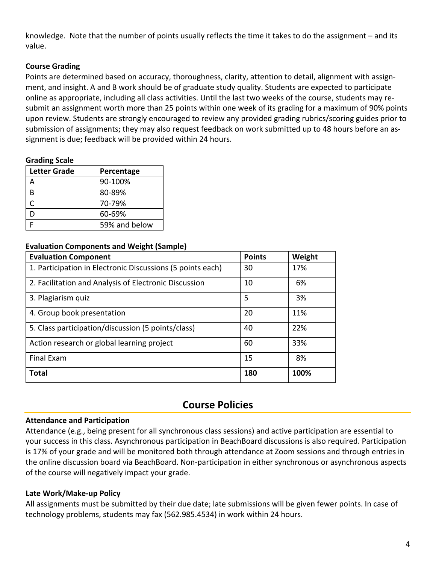knowledge. Note that the number of points usually reflects the time it takes to do the assignment – and its value.

## **Course Grading**

Points are determined based on accuracy, thoroughness, clarity, attention to detail, alignment with assignment, and insight. A and B work should be of graduate study quality. Students are expected to participate online as appropriate, including all class activities. Until the last two weeks of the course, students may resubmit an assignment worth more than 25 points within one week of its grading for a maximum of 90% points upon review. Students are strongly encouraged to review any provided grading rubrics/scoring guides prior to submission of assignments; they may also request feedback on work submitted up to 48 hours before an assignment is due; feedback will be provided within 24 hours.

## **Grading Scale**

| <b>Letter Grade</b> | Percentage    |  |
|---------------------|---------------|--|
|                     | 90-100%       |  |
| R                   | 80-89%        |  |
| C                   | 70-79%        |  |
| D                   | 60-69%        |  |
|                     | 59% and below |  |

## **Evaluation Components and Weight (Sample)**

| <b>Evaluation Component</b>                                | <b>Points</b> | Weight |
|------------------------------------------------------------|---------------|--------|
| 1. Participation in Electronic Discussions (5 points each) | 30            | 17%    |
| 2. Facilitation and Analysis of Electronic Discussion      | 10            | 6%     |
| 3. Plagiarism quiz                                         | 5             | 3%     |
| 4. Group book presentation                                 | 20            | 11%    |
| 5. Class participation/discussion (5 points/class)         | 40            | 22%    |
| Action research or global learning project                 | 60            | 33%    |
| <b>Final Exam</b>                                          | 15            | 8%     |
| <b>Total</b>                                               | 180           | 100%   |

## **Course Policies**

## **Attendance and Participation**

Attendance (e.g., being present for all synchronous class sessions) and active participation are essential to your success in this class. Asynchronous participation in BeachBoard discussions is also required. Participation is 17% of your grade and will be monitored both through attendance at Zoom sessions and through entries in the online discussion board via BeachBoard. Non-participation in either synchronous or asynchronous aspects of the course will negatively impact your grade.

## **Late Work/Make-up Policy**

All assignments must be submitted by their due date; late submissions will be given fewer points. In case of technology problems, students may fax (562.985.4534) in work within 24 hours.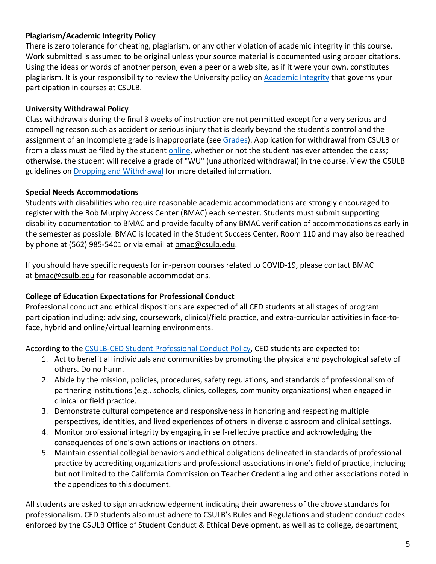## **Plagiarism/Academic Integrity Policy**

There is zero tolerance for cheating, plagiarism, or any other violation of academic integrity in this course. Work submitted is assumed to be original unless your source material is documented using proper citations. Using the ideas or words of another person, even a peer or a web site, as if it were your own, constitutes plagiarism. It is your responsibility to review the University policy on [Academic Integrity](https://www.csulb.edu/academic-senate/policy-academic-integrity-regarding-cheating-and-plagiarism) that governs your participation in courses at CSULB.

## **University Withdrawal Policy**

Class withdrawals during the final 3 weeks of instruction are not permitted except for a very serious and compelling reason such as accident or serious injury that is clearly beyond the student's control and the assignment of an Incomplete grade is inappropriate (see [Grades\)](http://www.csulb.edu/depts/enrollment/student_academic_records/grading.html). Application for withdrawal from CSULB or from a class must be filed by the student [online,](https://www.csulb.edu/student-records/dropping-and-withdrawing) whether or not the student has ever attended the class; otherwise, the student will receive a grade of "WU" (unauthorized withdrawal) in the course. View the CSULB guidelines on [Dropping and Withdrawal](https://www.csulb.edu/student-records/dropping-and-withdrawing#:%7E:text=Policy,after%20separation%20from%20the%20university.) for more detailed information.

## **Special Needs Accommodations**

Students with disabilities who require reasonable academic accommodations are strongly encouraged to register with the Bob Murphy Access Center (BMAC) each semester. Students must submit supporting disability documentation to BMAC and provide faculty of any BMAC verification of accommodations as early in the semester as possible. BMAC is located in the Student Success Center, Room 110 and may also be reached by phone at (562) 985-5401 or via email at [bmac@csulb.edu.](mailto:bmac@csulb.edu)

If you should have specific requests for in-person courses related to COVID-19, please contact BMAC at **[bmac@csulb.edu](mailto:bmac@csulb.edu)** for reasonable accommodations.

## **College of Education Expectations for Professional Conduct**

Professional conduct and ethical dispositions are expected of all CED students at all stages of program participation including: advising, coursework, clinical/field practice, and extra-curricular activities in face-toface, hybrid and online/virtual learning environments.

According to the [CSULB-CED Student Professional Conduct Policy,](https://www.csulb.edu/sites/default/files/u48211/final-ced_student_professional_conduct_policy-1-2021.pdf) CED students are expected to:

- 1. Act to benefit all individuals and communities by promoting the physical and psychological safety of others. Do no harm.
- 2. Abide by the mission, policies, procedures, safety regulations, and standards of professionalism of partnering institutions (e.g., schools, clinics, colleges, community organizations) when engaged in clinical or field practice.
- 3. Demonstrate cultural competence and responsiveness in honoring and respecting multiple perspectives, identities, and lived experiences of others in diverse classroom and clinical settings.
- 4. Monitor professional integrity by engaging in self-reflective practice and acknowledging the consequences of one's own actions or inactions on others.
- 5. Maintain essential collegial behaviors and ethical obligations delineated in standards of professional practice by accrediting organizations and professional associations in one's field of practice, including but not limited to the California Commission on Teacher Credentialing and other associations noted in the appendices to this document.

All students are asked to sign an acknowledgement indicating their awareness of the above standards for professionalism. CED students also must adhere to CSULB's Rules and Regulations and student conduct codes enforced by the CSULB Office of Student Conduct & Ethical Development, as well as to college, department,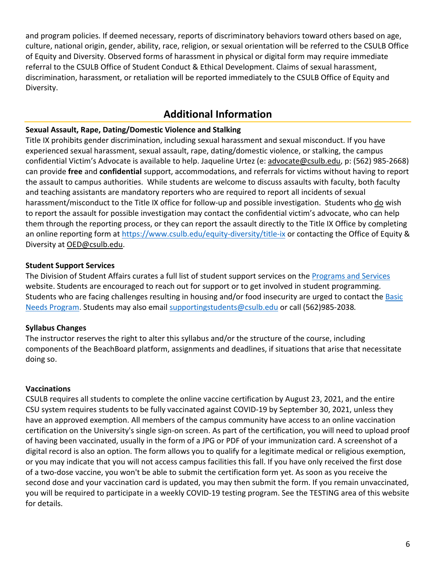and program policies. If deemed necessary, reports of discriminatory behaviors toward others based on age, culture, national origin, gender, ability, race, religion, or sexual orientation will be referred to the CSULB Office of Equity and Diversity. Observed forms of harassment in physical or digital form may require immediate referral to the CSULB Office of Student Conduct & Ethical Development. Claims of sexual harassment, discrimination, harassment, or retaliation will be reported immediately to the CSULB Office of Equity and Diversity.

# **Additional Information**

## **Sexual Assault, Rape, Dating/Domestic Violence and Stalking**

Title IX prohibits gender discrimination, including sexual harassment and sexual misconduct. If you have experienced sexual harassment, sexual assault, rape, dating/domestic violence, or stalking, the campus confidential Victim's Advocate is available to help. Jaqueline Urtez (e: [advocate@csulb.edu,](mailto:advocate@csulb.edu) p: (562) 985-2668) can provide **free** and **confidential** support, accommodations, and referrals for victims without having to report the assault to campus authorities. While students are welcome to discuss assaults with faculty, both faculty and teaching assistants are mandatory reporters who are required to report all incidents of sexual harassment/misconduct to the Title IX office for follow-up and possible investigation. Students who do wish to report the assault for possible investigation may contact the confidential victim's advocate, who can help them through the reporting process, or they can report the assault directly to the Title IX Office by completing an online reporting form at<https://www.csulb.edu/equity-diversity/title-ix> or contacting the Office of Equity & Diversity at [OED@csulb.edu.](mailto:OED@csulb.edu)

## **Student Support Services**

The Division of Student Affairs curates a full list of student support services on the [Programs and Services](http://web.csulb.edu/divisions/students/programs.html) website. Students are encouraged to reach out for support or to get involved in student programming. Students who are facing challenges resulting in housing and/or food insecurity are urged to contact the [Basic](https://www.csulb.edu/student-affairs/basic-needs-0)  [Needs Program.](https://www.csulb.edu/student-affairs/basic-needs-0) Students may also email [supportingstudents@csulb.edu](mailto:supportingstudents@csulb.edu) or call (562)985-2038*.*

## **Syllabus Changes**

The instructor reserves the right to alter this syllabus and/or the structure of the course, including components of the BeachBoard platform, assignments and deadlines, if situations that arise that necessitate doing so.

#### **Vaccinations**

CSULB requires all students to complete the online vaccine certification by August 23, 2021, and the entire CSU system requires students to be fully vaccinated against COVID-19 by September 30, 2021, unless they have an approved exemption. All members of the campus community have access to an online vaccination certification on the University's single sign-on screen. As part of the certification, you will need to upload proof of having been vaccinated, usually in the form of a JPG or PDF of your immunization card. A screenshot of a digital record is also an option. The form allows you to qualify for a legitimate medical or religious exemption, or you may indicate that you will not access campus facilities this fall. If you have only received the first dose of a two-dose vaccine, you won't be able to submit the certification form yet. As soon as you receive the second dose and your vaccination card is updated, you may then submit the form. If you remain unvaccinated, you will be required to participate in a weekly COVID-19 testing program. See the TESTING area of this website for details.